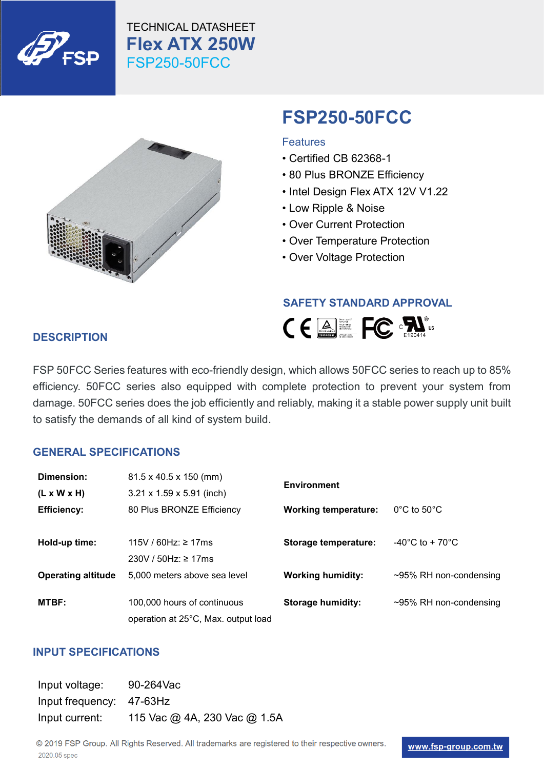





# **FSP250-50FCC**

#### **Features**

- Certified CB 62368-1
- 80 Plus BRONZE Efficiency
- Intel Design Flex ATX 12V V1.22
- Low Ripple & Noise
- Over Current Protection
- Over Temperature Protection
- Over Voltage Protection

#### **SAFETY STANDARD APPROVAL**



## **DESCRIPTION**

FSP 50FCC Series features with eco-friendly design, which allows 50FCC series to reach up to 85% efficiency. 50FCC series also equipped with complete protection to prevent your system from damage. 50FCC series does the job efficiently and reliably, making it a stable power supply unit built to satisfy the demands of all kind of system build.

#### **GENERAL SPECIFICATIONS**

| Dimension:                | $81.5 \times 40.5 \times 150$ (mm)    | <b>Environment</b>          |                                      |
|---------------------------|---------------------------------------|-----------------------------|--------------------------------------|
| $(L \times W \times H)$   | $3.21 \times 1.59 \times 5.91$ (inch) |                             |                                      |
| <b>Efficiency:</b>        | 80 Plus BRONZE Efficiency             | <b>Working temperature:</b> | $0^{\circ}$ C to $50^{\circ}$ C      |
|                           |                                       |                             |                                      |
| Hold-up time:             | 115V / 60Hz: ≥ 17ms                   | Storage temperature:        | $-40^{\circ}$ C to + 70 $^{\circ}$ C |
|                           | 230V / 50Hz: ≥ 17ms                   |                             |                                      |
| <b>Operating altitude</b> | 5.000 meters above sea level          | <b>Working humidity:</b>    | $\sim$ 95% RH non-condensing         |
|                           |                                       |                             |                                      |
| MTBF:                     | 100,000 hours of continuous           | <b>Storage humidity:</b>    | $\sim$ 95% RH non-condensing         |
|                           | operation at 25°C, Max. output load   |                             |                                      |

#### **INPUT SPECIFICATIONS**

| Input voltage:           | 90-264Vac                    |
|--------------------------|------------------------------|
| Input frequency: 47-63Hz |                              |
| Input current:           | 115 Vac @ 4A, 230 Vac @ 1.5A |

© 2019 FSP Group. All Rights Reserved. All trademarks are registered to their respective owners. 2020.05 spec